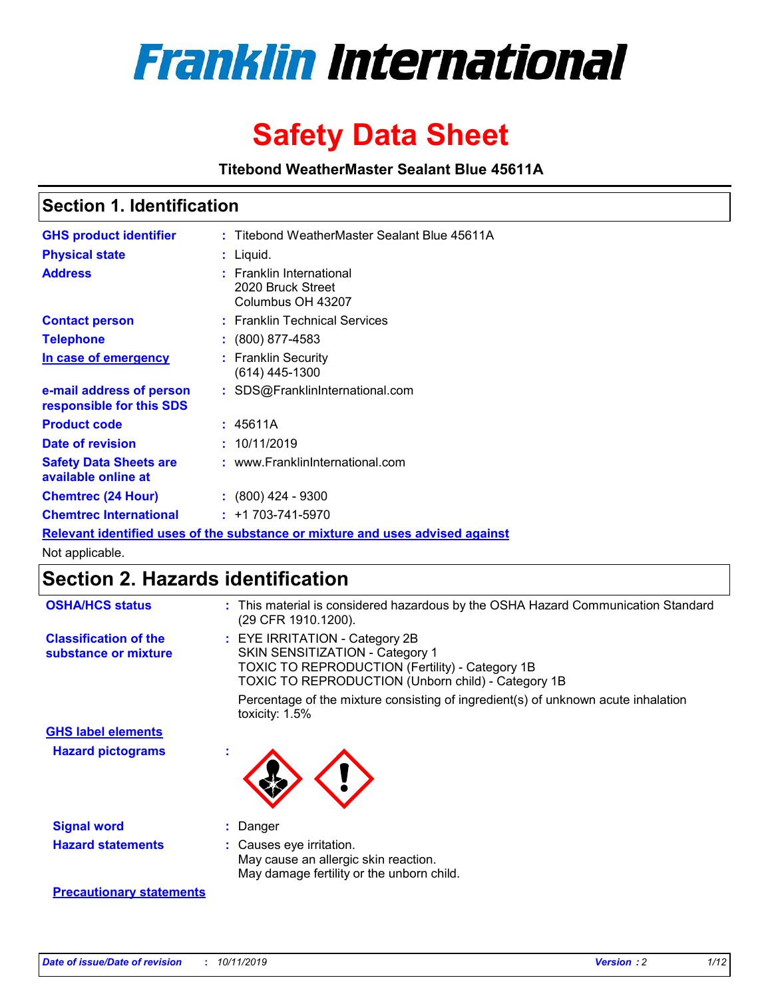

# **Safety Data Sheet**

**Titebond WeatherMaster Sealant Blue 45611A**

### **Section 1. Identification**

| <b>GHS product identifier</b>                        | : Titebond WeatherMaster Sealant Blue 45611A                                  |
|------------------------------------------------------|-------------------------------------------------------------------------------|
| <b>Physical state</b>                                | : Liquid.                                                                     |
| <b>Address</b>                                       | : Franklin International<br>2020 Bruck Street<br>Columbus OH 43207            |
| <b>Contact person</b>                                | : Franklin Technical Services                                                 |
| <b>Telephone</b>                                     | $\colon$ (800) 877-4583                                                       |
| In case of emergency                                 | : Franklin Security<br>(614) 445-1300                                         |
| e-mail address of person<br>responsible for this SDS | : SDS@FranklinInternational.com                                               |
| <b>Product code</b>                                  | : 45611A                                                                      |
| Date of revision                                     | : 10/11/2019                                                                  |
| <b>Safety Data Sheets are</b><br>available online at | : www.FranklinInternational.com                                               |
| <b>Chemtrec (24 Hour)</b>                            | $\div$ (800) 424 - 9300                                                       |
| <b>Chemtrec International</b>                        | $: +1703 - 741 - 5970$                                                        |
|                                                      | Relevant identified uses of the substance or mixture and uses advised against |

Not applicable.

## **Section 2. Hazards identification**

| <b>OSHA/HCS status</b>                               | : This material is considered hazardous by the OSHA Hazard Communication Standard<br>(29 CFR 1910.1200).                                                                                 |
|------------------------------------------------------|------------------------------------------------------------------------------------------------------------------------------------------------------------------------------------------|
| <b>Classification of the</b><br>substance or mixture | : EYE IRRITATION - Category 2B<br>SKIN SENSITIZATION - Category 1<br><b>TOXIC TO REPRODUCTION (Fertility) - Category 1B</b><br><b>TOXIC TO REPRODUCTION (Unborn child) - Category 1B</b> |
|                                                      | Percentage of the mixture consisting of ingredient(s) of unknown acute inhalation<br>toxicity: $1.5\%$                                                                                   |
| <b>GHS label elements</b>                            |                                                                                                                                                                                          |
| <b>Hazard pictograms</b>                             |                                                                                                                                                                                          |
| <b>Signal word</b>                                   | : Danger                                                                                                                                                                                 |
| <b>Hazard statements</b>                             | : Causes eye irritation.<br>May cause an allergic skin reaction.<br>May damage fertility or the unborn child.                                                                            |
| <b>Precautionary statements</b>                      |                                                                                                                                                                                          |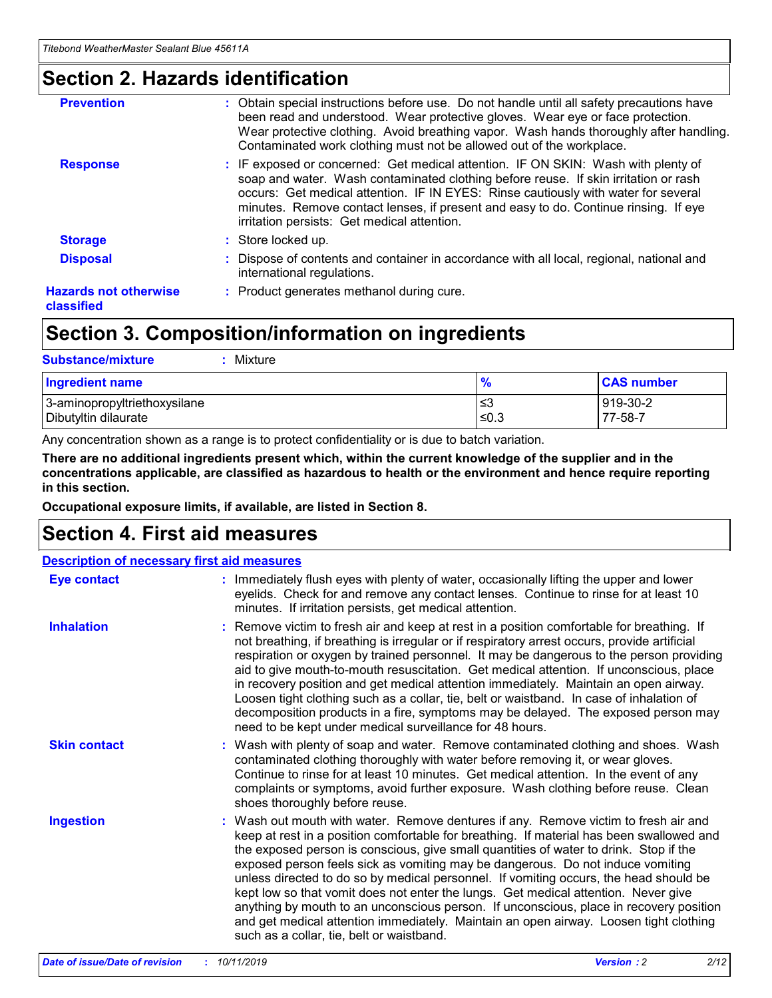### **Section 2. Hazards identification**

| <b>Prevention</b>                          | : Obtain special instructions before use. Do not handle until all safety precautions have<br>been read and understood. Wear protective gloves. Wear eye or face protection.<br>Wear protective clothing. Avoid breathing vapor. Wash hands thoroughly after handling.<br>Contaminated work clothing must not be allowed out of the workplace.                                                        |
|--------------------------------------------|------------------------------------------------------------------------------------------------------------------------------------------------------------------------------------------------------------------------------------------------------------------------------------------------------------------------------------------------------------------------------------------------------|
| <b>Response</b>                            | : IF exposed or concerned: Get medical attention. IF ON SKIN: Wash with plenty of<br>soap and water. Wash contaminated clothing before reuse. If skin irritation or rash<br>occurs: Get medical attention. IF IN EYES: Rinse cautiously with water for several<br>minutes. Remove contact lenses, if present and easy to do. Continue rinsing. If eye<br>irritation persists: Get medical attention. |
| <b>Storage</b>                             | : Store locked up.                                                                                                                                                                                                                                                                                                                                                                                   |
| <b>Disposal</b>                            | : Dispose of contents and container in accordance with all local, regional, national and<br>international regulations.                                                                                                                                                                                                                                                                               |
| <b>Hazards not otherwise</b><br>classified | : Product generates methanol during cure.                                                                                                                                                                                                                                                                                                                                                            |
|                                            |                                                                                                                                                                                                                                                                                                                                                                                                      |

## **Section 3. Composition/information on ingredients**

| <b>Substance/mixture</b><br>Mixture                  |               |                     |
|------------------------------------------------------|---------------|---------------------|
| <b>Ingredient name</b>                               | $\frac{9}{6}$ | <b>CAS number</b>   |
| 3-aminopropyltriethoxysilane<br>Dibutyltin dilaurate | ≤3<br>$≤0.3$  | 919-30-2<br>77-58-7 |

Any concentration shown as a range is to protect confidentiality or is due to batch variation.

**There are no additional ingredients present which, within the current knowledge of the supplier and in the concentrations applicable, are classified as hazardous to health or the environment and hence require reporting in this section.**

**Occupational exposure limits, if available, are listed in Section 8.**

### **Section 4. First aid measures**

| <b>Description of necessary first aid measures</b> |                                                                                                                                                                                                                                                                                                                                                                                                                                                                                                                                                                                                                                                                                                                                                                           |  |  |  |
|----------------------------------------------------|---------------------------------------------------------------------------------------------------------------------------------------------------------------------------------------------------------------------------------------------------------------------------------------------------------------------------------------------------------------------------------------------------------------------------------------------------------------------------------------------------------------------------------------------------------------------------------------------------------------------------------------------------------------------------------------------------------------------------------------------------------------------------|--|--|--|
| <b>Eye contact</b>                                 | : Immediately flush eyes with plenty of water, occasionally lifting the upper and lower<br>eyelids. Check for and remove any contact lenses. Continue to rinse for at least 10<br>minutes. If irritation persists, get medical attention.                                                                                                                                                                                                                                                                                                                                                                                                                                                                                                                                 |  |  |  |
| <b>Inhalation</b>                                  | : Remove victim to fresh air and keep at rest in a position comfortable for breathing. If<br>not breathing, if breathing is irregular or if respiratory arrest occurs, provide artificial<br>respiration or oxygen by trained personnel. It may be dangerous to the person providing<br>aid to give mouth-to-mouth resuscitation. Get medical attention. If unconscious, place<br>in recovery position and get medical attention immediately. Maintain an open airway.<br>Loosen tight clothing such as a collar, tie, belt or waistband. In case of inhalation of<br>decomposition products in a fire, symptoms may be delayed. The exposed person may<br>need to be kept under medical surveillance for 48 hours.                                                       |  |  |  |
| <b>Skin contact</b>                                | : Wash with plenty of soap and water. Remove contaminated clothing and shoes. Wash<br>contaminated clothing thoroughly with water before removing it, or wear gloves.<br>Continue to rinse for at least 10 minutes. Get medical attention. In the event of any<br>complaints or symptoms, avoid further exposure. Wash clothing before reuse. Clean<br>shoes thoroughly before reuse.                                                                                                                                                                                                                                                                                                                                                                                     |  |  |  |
| <b>Ingestion</b>                                   | : Wash out mouth with water. Remove dentures if any. Remove victim to fresh air and<br>keep at rest in a position comfortable for breathing. If material has been swallowed and<br>the exposed person is conscious, give small quantities of water to drink. Stop if the<br>exposed person feels sick as vomiting may be dangerous. Do not induce vomiting<br>unless directed to do so by medical personnel. If vomiting occurs, the head should be<br>kept low so that vomit does not enter the lungs. Get medical attention. Never give<br>anything by mouth to an unconscious person. If unconscious, place in recovery position<br>and get medical attention immediately. Maintain an open airway. Loosen tight clothing<br>such as a collar, tie, belt or waistband. |  |  |  |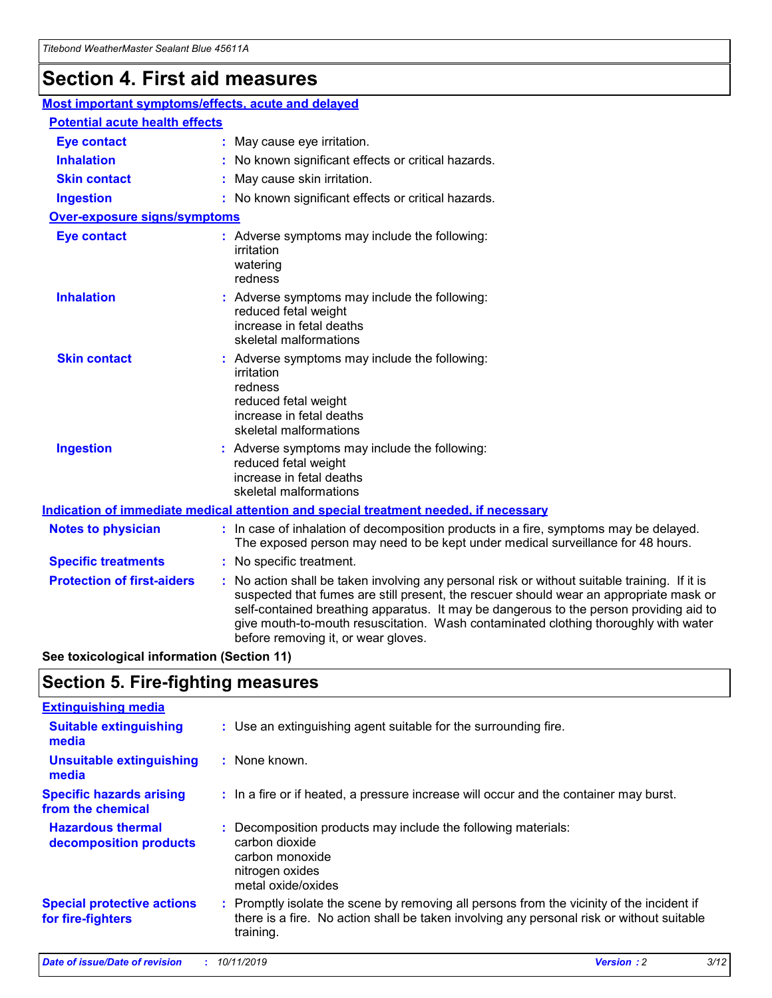## **Section 4. First aid measures**

| Most important symptoms/effects, acute and delayed |  |                                                                                                                                                                                                                                                                                                                                                                                                                 |
|----------------------------------------------------|--|-----------------------------------------------------------------------------------------------------------------------------------------------------------------------------------------------------------------------------------------------------------------------------------------------------------------------------------------------------------------------------------------------------------------|
| <b>Potential acute health effects</b>              |  |                                                                                                                                                                                                                                                                                                                                                                                                                 |
| <b>Eye contact</b>                                 |  | : May cause eye irritation.                                                                                                                                                                                                                                                                                                                                                                                     |
| <b>Inhalation</b>                                  |  | : No known significant effects or critical hazards.                                                                                                                                                                                                                                                                                                                                                             |
| <b>Skin contact</b>                                |  | : May cause skin irritation.                                                                                                                                                                                                                                                                                                                                                                                    |
| <b>Ingestion</b>                                   |  | : No known significant effects or critical hazards.                                                                                                                                                                                                                                                                                                                                                             |
| <b>Over-exposure signs/symptoms</b>                |  |                                                                                                                                                                                                                                                                                                                                                                                                                 |
| <b>Eye contact</b>                                 |  | : Adverse symptoms may include the following:<br>irritation<br>watering<br>redness                                                                                                                                                                                                                                                                                                                              |
| <b>Inhalation</b>                                  |  | : Adverse symptoms may include the following:<br>reduced fetal weight<br>increase in fetal deaths<br>skeletal malformations                                                                                                                                                                                                                                                                                     |
| <b>Skin contact</b>                                |  | : Adverse symptoms may include the following:<br>irritation<br>redness<br>reduced fetal weight<br>increase in fetal deaths<br>skeletal malformations                                                                                                                                                                                                                                                            |
| <b>Ingestion</b>                                   |  | : Adverse symptoms may include the following:<br>reduced fetal weight<br>increase in fetal deaths<br>skeletal malformations                                                                                                                                                                                                                                                                                     |
|                                                    |  | <b>Indication of immediate medical attention and special treatment needed, if necessary</b>                                                                                                                                                                                                                                                                                                                     |
| <b>Notes to physician</b>                          |  | : In case of inhalation of decomposition products in a fire, symptoms may be delayed.<br>The exposed person may need to be kept under medical surveillance for 48 hours.                                                                                                                                                                                                                                        |
| <b>Specific treatments</b>                         |  | : No specific treatment.                                                                                                                                                                                                                                                                                                                                                                                        |
| <b>Protection of first-aiders</b>                  |  | : No action shall be taken involving any personal risk or without suitable training. If it is<br>suspected that fumes are still present, the rescuer should wear an appropriate mask or<br>self-contained breathing apparatus. It may be dangerous to the person providing aid to<br>give mouth-to-mouth resuscitation. Wash contaminated clothing thoroughly with water<br>before removing it, or wear gloves. |

**See toxicological information (Section 11)**

### **Section 5. Fire-fighting measures**

| <b>Extinguishing media</b>                             |                                                                                                                                                                                                     |
|--------------------------------------------------------|-----------------------------------------------------------------------------------------------------------------------------------------------------------------------------------------------------|
| <b>Suitable extinguishing</b><br>media                 | : Use an extinguishing agent suitable for the surrounding fire.                                                                                                                                     |
| <b>Unsuitable extinguishing</b><br>media               | : None known.                                                                                                                                                                                       |
| <b>Specific hazards arising</b><br>from the chemical   | : In a fire or if heated, a pressure increase will occur and the container may burst.                                                                                                               |
| <b>Hazardous thermal</b><br>decomposition products     | : Decomposition products may include the following materials:<br>carbon dioxide<br>carbon monoxide<br>nitrogen oxides<br>metal oxide/oxides                                                         |
| <b>Special protective actions</b><br>for fire-fighters | : Promptly isolate the scene by removing all persons from the vicinity of the incident if<br>there is a fire. No action shall be taken involving any personal risk or without suitable<br>training. |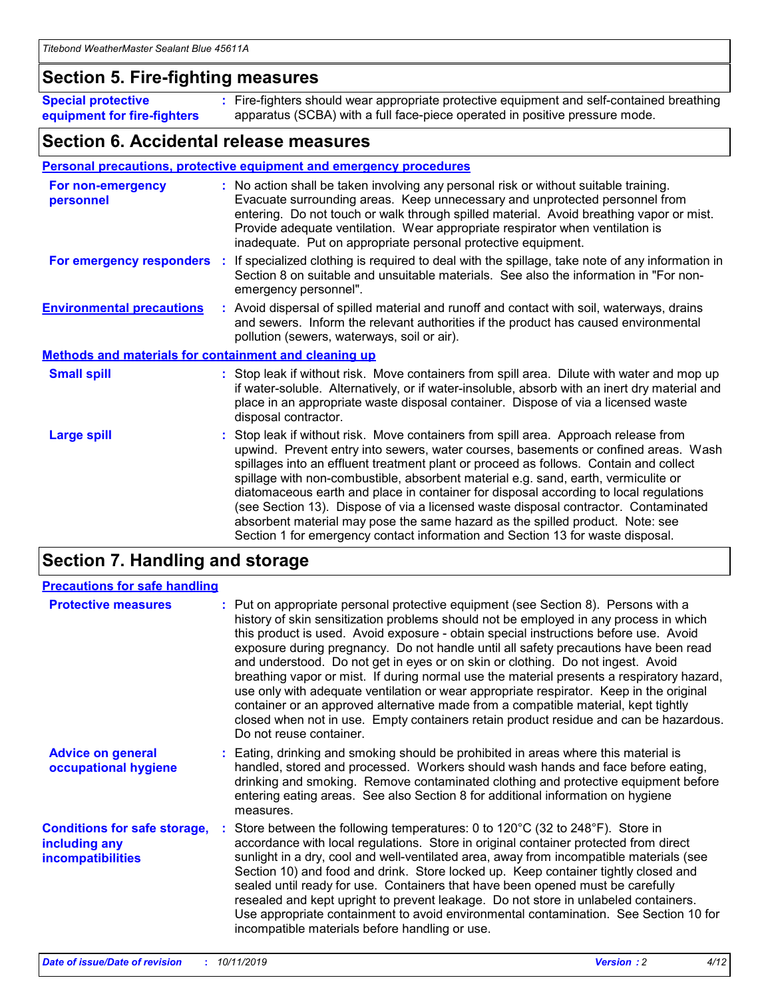### **Section 5. Fire-fighting measures**

**Special protective equipment for fire-fighters** Fire-fighters should wear appropriate protective equipment and self-contained breathing **:** apparatus (SCBA) with a full face-piece operated in positive pressure mode.

### **Section 6. Accidental release measures**

#### **Personal precautions, protective equipment and emergency procedures**

| For non-emergency<br>personnel                               | : No action shall be taken involving any personal risk or without suitable training.<br>Evacuate surrounding areas. Keep unnecessary and unprotected personnel from<br>entering. Do not touch or walk through spilled material. Avoid breathing vapor or mist.<br>Provide adequate ventilation. Wear appropriate respirator when ventilation is<br>inadequate. Put on appropriate personal protective equipment.                                                                                                                                                                                                                                                                                             |
|--------------------------------------------------------------|--------------------------------------------------------------------------------------------------------------------------------------------------------------------------------------------------------------------------------------------------------------------------------------------------------------------------------------------------------------------------------------------------------------------------------------------------------------------------------------------------------------------------------------------------------------------------------------------------------------------------------------------------------------------------------------------------------------|
|                                                              | For emergency responders : If specialized clothing is required to deal with the spillage, take note of any information in<br>Section 8 on suitable and unsuitable materials. See also the information in "For non-<br>emergency personnel".                                                                                                                                                                                                                                                                                                                                                                                                                                                                  |
| <b>Environmental precautions</b>                             | : Avoid dispersal of spilled material and runoff and contact with soil, waterways, drains<br>and sewers. Inform the relevant authorities if the product has caused environmental<br>pollution (sewers, waterways, soil or air).                                                                                                                                                                                                                                                                                                                                                                                                                                                                              |
| <b>Methods and materials for containment and cleaning up</b> |                                                                                                                                                                                                                                                                                                                                                                                                                                                                                                                                                                                                                                                                                                              |
| <b>Small spill</b>                                           | : Stop leak if without risk. Move containers from spill area. Dilute with water and mop up<br>if water-soluble. Alternatively, or if water-insoluble, absorb with an inert dry material and<br>place in an appropriate waste disposal container. Dispose of via a licensed waste<br>disposal contractor.                                                                                                                                                                                                                                                                                                                                                                                                     |
| <b>Large spill</b>                                           | : Stop leak if without risk. Move containers from spill area. Approach release from<br>upwind. Prevent entry into sewers, water courses, basements or confined areas. Wash<br>spillages into an effluent treatment plant or proceed as follows. Contain and collect<br>spillage with non-combustible, absorbent material e.g. sand, earth, vermiculite or<br>diatomaceous earth and place in container for disposal according to local regulations<br>(see Section 13). Dispose of via a licensed waste disposal contractor. Contaminated<br>absorbent material may pose the same hazard as the spilled product. Note: see<br>Section 1 for emergency contact information and Section 13 for waste disposal. |

### **Section 7. Handling and storage**

| <b>Precautions for safe handling</b>                                             |                                                                                                                                                                                                                                                                                                                                                                                                                                                                                                                                                                                                                                                                                                                                                                                                                                                  |
|----------------------------------------------------------------------------------|--------------------------------------------------------------------------------------------------------------------------------------------------------------------------------------------------------------------------------------------------------------------------------------------------------------------------------------------------------------------------------------------------------------------------------------------------------------------------------------------------------------------------------------------------------------------------------------------------------------------------------------------------------------------------------------------------------------------------------------------------------------------------------------------------------------------------------------------------|
| <b>Protective measures</b>                                                       | : Put on appropriate personal protective equipment (see Section 8). Persons with a<br>history of skin sensitization problems should not be employed in any process in which<br>this product is used. Avoid exposure - obtain special instructions before use. Avoid<br>exposure during pregnancy. Do not handle until all safety precautions have been read<br>and understood. Do not get in eyes or on skin or clothing. Do not ingest. Avoid<br>breathing vapor or mist. If during normal use the material presents a respiratory hazard,<br>use only with adequate ventilation or wear appropriate respirator. Keep in the original<br>container or an approved alternative made from a compatible material, kept tightly<br>closed when not in use. Empty containers retain product residue and can be hazardous.<br>Do not reuse container. |
| <b>Advice on general</b><br>occupational hygiene                                 | : Eating, drinking and smoking should be prohibited in areas where this material is<br>handled, stored and processed. Workers should wash hands and face before eating,<br>drinking and smoking. Remove contaminated clothing and protective equipment before<br>entering eating areas. See also Section 8 for additional information on hygiene<br>measures.                                                                                                                                                                                                                                                                                                                                                                                                                                                                                    |
| <b>Conditions for safe storage,</b><br>including any<br><b>incompatibilities</b> | : Store between the following temperatures: 0 to 120 $\degree$ C (32 to 248 $\degree$ F). Store in<br>accordance with local regulations. Store in original container protected from direct<br>sunlight in a dry, cool and well-ventilated area, away from incompatible materials (see<br>Section 10) and food and drink. Store locked up. Keep container tightly closed and<br>sealed until ready for use. Containers that have been opened must be carefully<br>resealed and kept upright to prevent leakage. Do not store in unlabeled containers.<br>Use appropriate containment to avoid environmental contamination. See Section 10 for<br>incompatible materials before handling or use.                                                                                                                                                   |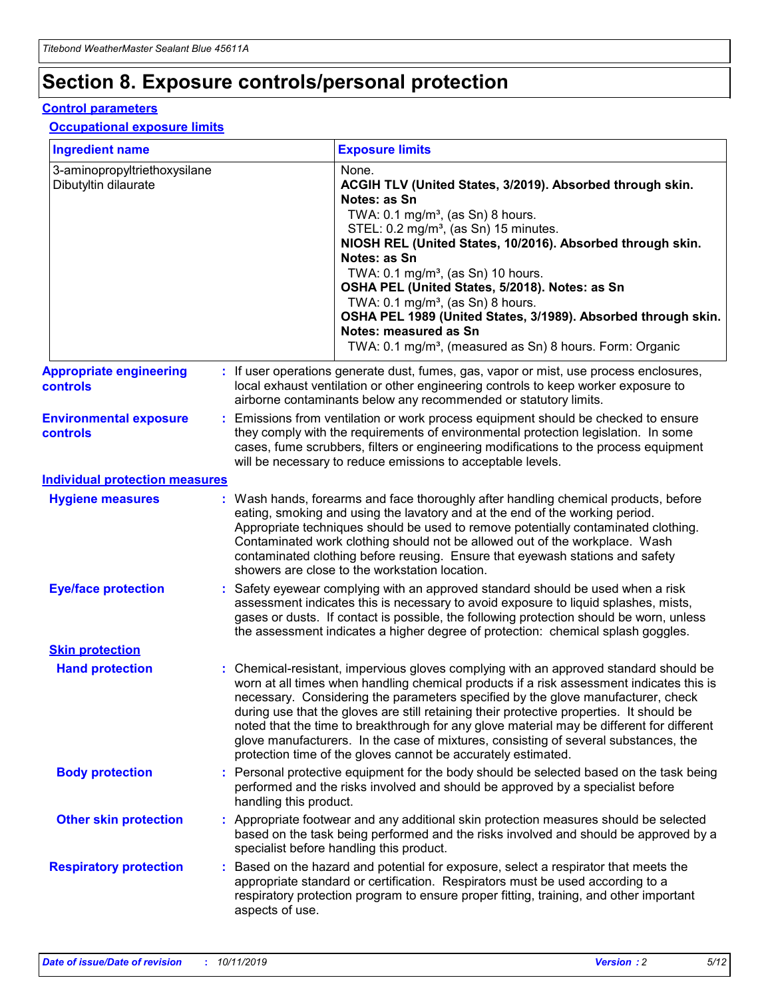## **Section 8. Exposure controls/personal protection**

#### **Control parameters**

#### **Occupational exposure limits**

| <b>Ingredient name</b>                               |    |                        | <b>Exposure limits</b>                                                                                                                                                                                                                                                                                                                                                                                                                                                                                                                                                                                                 |
|------------------------------------------------------|----|------------------------|------------------------------------------------------------------------------------------------------------------------------------------------------------------------------------------------------------------------------------------------------------------------------------------------------------------------------------------------------------------------------------------------------------------------------------------------------------------------------------------------------------------------------------------------------------------------------------------------------------------------|
| 3-aminopropyltriethoxysilane<br>Dibutyltin dilaurate |    |                        | None.<br>ACGIH TLV (United States, 3/2019). Absorbed through skin.<br>Notes: as Sn<br>TWA: $0.1 \text{ mg/m}^3$ , (as Sn) 8 hours.<br>STEL: 0.2 mg/m <sup>3</sup> , (as Sn) 15 minutes.<br>NIOSH REL (United States, 10/2016). Absorbed through skin.<br>Notes: as Sn<br>TWA: 0.1 mg/m <sup>3</sup> , (as Sn) 10 hours.<br>OSHA PEL (United States, 5/2018). Notes: as Sn<br>TWA: $0.1 \text{ mg/m}^3$ , (as Sn) 8 hours.<br>OSHA PEL 1989 (United States, 3/1989). Absorbed through skin.<br>Notes: measured as Sn<br>TWA: 0.1 mg/m <sup>3</sup> , (measured as Sn) 8 hours. Form: Organic                            |
| <b>Appropriate engineering</b><br>controls           |    |                        | : If user operations generate dust, fumes, gas, vapor or mist, use process enclosures,<br>local exhaust ventilation or other engineering controls to keep worker exposure to<br>airborne contaminants below any recommended or statutory limits.                                                                                                                                                                                                                                                                                                                                                                       |
| <b>Environmental exposure</b><br>controls            |    |                        | Emissions from ventilation or work process equipment should be checked to ensure<br>they comply with the requirements of environmental protection legislation. In some<br>cases, fume scrubbers, filters or engineering modifications to the process equipment<br>will be necessary to reduce emissions to acceptable levels.                                                                                                                                                                                                                                                                                          |
| <b>Individual protection measures</b>                |    |                        |                                                                                                                                                                                                                                                                                                                                                                                                                                                                                                                                                                                                                        |
| <b>Hygiene measures</b>                              |    |                        | : Wash hands, forearms and face thoroughly after handling chemical products, before<br>eating, smoking and using the lavatory and at the end of the working period.<br>Appropriate techniques should be used to remove potentially contaminated clothing.<br>Contaminated work clothing should not be allowed out of the workplace. Wash<br>contaminated clothing before reusing. Ensure that eyewash stations and safety<br>showers are close to the workstation location.                                                                                                                                            |
| <b>Eye/face protection</b>                           |    |                        | : Safety eyewear complying with an approved standard should be used when a risk<br>assessment indicates this is necessary to avoid exposure to liquid splashes, mists,<br>gases or dusts. If contact is possible, the following protection should be worn, unless<br>the assessment indicates a higher degree of protection: chemical splash goggles.                                                                                                                                                                                                                                                                  |
| <b>Skin protection</b>                               |    |                        |                                                                                                                                                                                                                                                                                                                                                                                                                                                                                                                                                                                                                        |
| <b>Hand protection</b>                               |    |                        | : Chemical-resistant, impervious gloves complying with an approved standard should be<br>worn at all times when handling chemical products if a risk assessment indicates this is<br>necessary. Considering the parameters specified by the glove manufacturer, check<br>during use that the gloves are still retaining their protective properties. It should be<br>noted that the time to breakthrough for any glove material may be different for different<br>glove manufacturers. In the case of mixtures, consisting of several substances, the<br>protection time of the gloves cannot be accurately estimated. |
| <b>Body protection</b>                               |    | handling this product. | Personal protective equipment for the body should be selected based on the task being<br>performed and the risks involved and should be approved by a specialist before                                                                                                                                                                                                                                                                                                                                                                                                                                                |
| <b>Other skin protection</b>                         |    |                        | : Appropriate footwear and any additional skin protection measures should be selected<br>based on the task being performed and the risks involved and should be approved by a<br>specialist before handling this product.                                                                                                                                                                                                                                                                                                                                                                                              |
| <b>Respiratory protection</b>                        | ÷. | aspects of use.        | Based on the hazard and potential for exposure, select a respirator that meets the<br>appropriate standard or certification. Respirators must be used according to a<br>respiratory protection program to ensure proper fitting, training, and other important                                                                                                                                                                                                                                                                                                                                                         |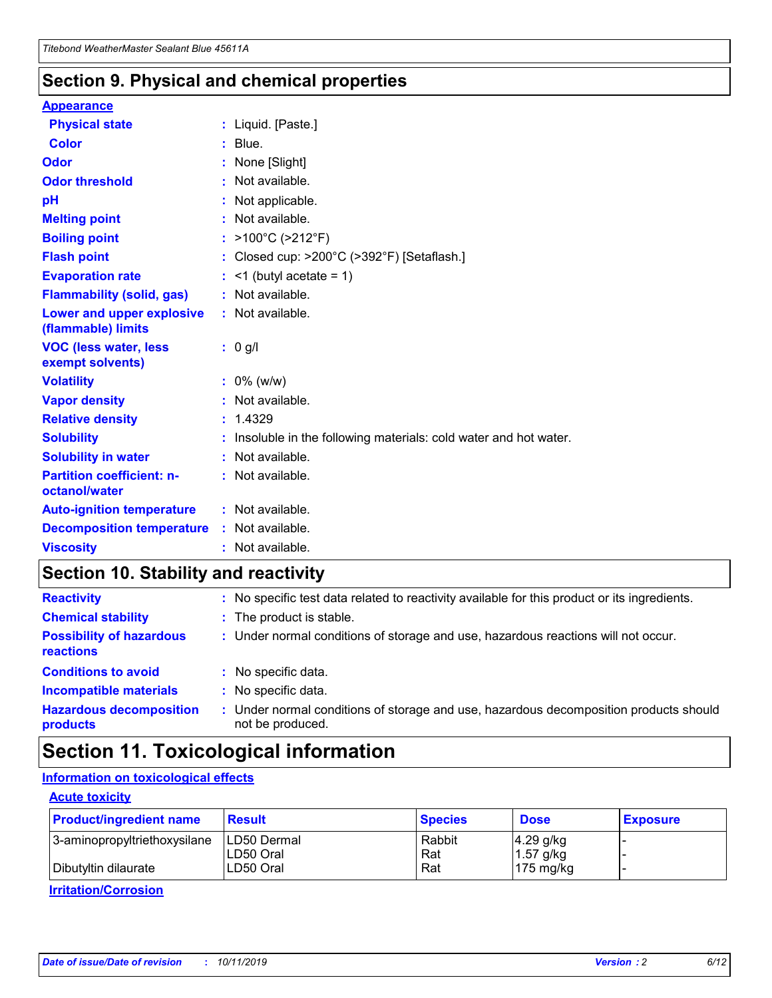### **Section 9. Physical and chemical properties**

#### **Appearance**

| <b>Physical state</b>                             | : Liquid. [Paste.]                                              |
|---------------------------------------------------|-----------------------------------------------------------------|
| Color                                             | $:$ Blue.                                                       |
| Odor                                              | : None [Slight]                                                 |
| <b>Odor threshold</b>                             | $:$ Not available.                                              |
| рH                                                | : Not applicable.                                               |
| <b>Melting point</b>                              | : Not available.                                                |
| <b>Boiling point</b>                              | : >100°C (>212°F)                                               |
| <b>Flash point</b>                                | : Closed cup: >200°C (>392°F) [Setaflash.]                      |
| <b>Evaporation rate</b>                           | $:$ <1 (butyl acetate = 1)                                      |
| <b>Flammability (solid, gas)</b>                  | : Not available.                                                |
| Lower and upper explosive<br>(flammable) limits   | $:$ Not available.                                              |
| <b>VOC (less water, less</b><br>exempt solvents)  | : 0 g/l                                                         |
| <b>Volatility</b>                                 | $: 0\%$ (w/w)                                                   |
| <b>Vapor density</b>                              | : Not available.                                                |
| <b>Relative density</b>                           | : 1.4329                                                        |
| <b>Solubility</b>                                 | Insoluble in the following materials: cold water and hot water. |
| <b>Solubility in water</b>                        | : Not available.                                                |
| <b>Partition coefficient: n-</b><br>octanol/water | $:$ Not available.                                              |
| <b>Auto-ignition temperature</b>                  | : Not available.                                                |
|                                                   |                                                                 |
| <b>Decomposition temperature</b>                  | : Not available.                                                |

### **Section 10. Stability and reactivity**

| <b>Reactivity</b>                            |    | : No specific test data related to reactivity available for this product or its ingredients.            |
|----------------------------------------------|----|---------------------------------------------------------------------------------------------------------|
| <b>Chemical stability</b>                    |    | : The product is stable.                                                                                |
| <b>Possibility of hazardous</b><br>reactions |    | : Under normal conditions of storage and use, hazardous reactions will not occur.                       |
| <b>Conditions to avoid</b>                   |    | : No specific data.                                                                                     |
| <b>Incompatible materials</b>                | ٠. | No specific data.                                                                                       |
| <b>Hazardous decomposition</b><br>products   | ÷. | Under normal conditions of storage and use, hazardous decomposition products should<br>not be produced. |

### **Section 11. Toxicological information**

### **Information on toxicological effects**

#### **Acute toxicity**

| <b>Product/ingredient name</b> | <b>Result</b>           | <b>Species</b> | <b>Dose</b>                | <b>Exposure</b> |
|--------------------------------|-------------------------|----------------|----------------------------|-----------------|
| 3-aminopropyltriethoxysilane   | <b>ILD50 Dermal</b>     | Rabbit         | 4.29 g/kg                  |                 |
| Dibutyltin dilaurate           | ILD50 Oral<br>LD50 Oral | Rat<br>Rat     | $1.57$ g/kg<br>175 $mg/kg$ |                 |
|                                |                         |                |                            |                 |

**Irritation/Corrosion**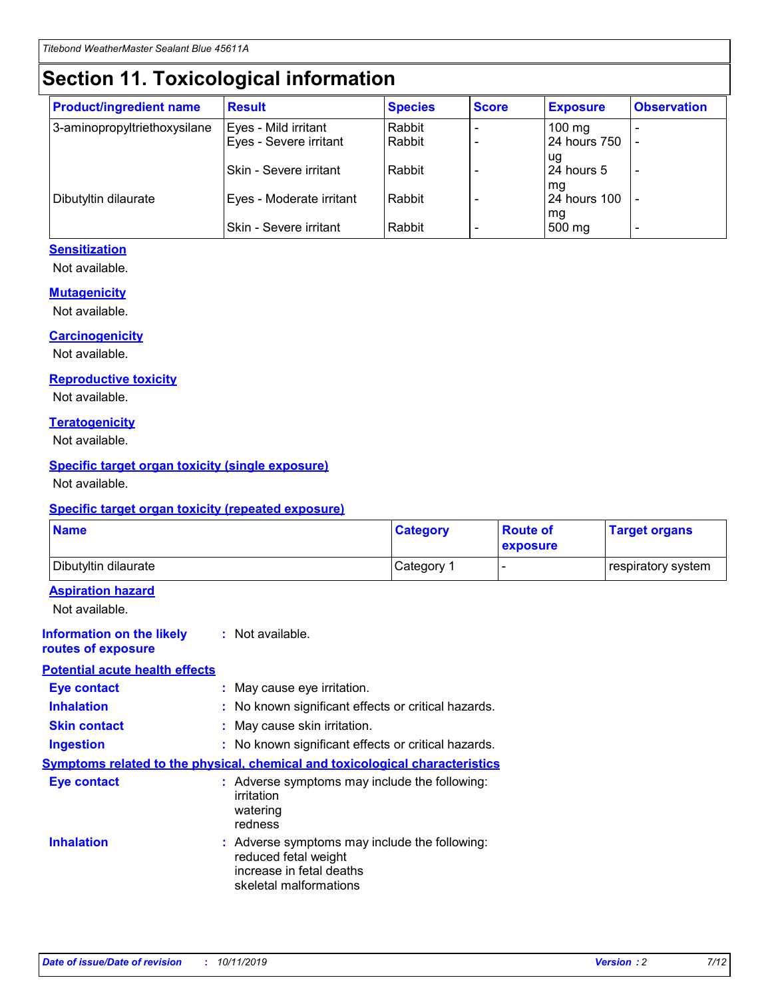## **Section 11. Toxicological information**

| <b>Product/ingredient name</b> | <b>Result</b>                 | <b>Species</b> | <b>Score</b> | <b>Exposure</b>    | <b>Observation</b> |
|--------------------------------|-------------------------------|----------------|--------------|--------------------|--------------------|
| 3-aminopropyltriethoxysilane   | Eyes - Mild irritant          | Rabbit         |              | $100$ mg           |                    |
|                                | Eyes - Severe irritant        | Rabbit         |              | 24 hours 750       |                    |
|                                |                               |                |              | ug                 |                    |
|                                | <b>Skin - Severe irritant</b> | Rabbit         |              | 24 hours 5         | ۰                  |
| Dibutyltin dilaurate           | Eyes - Moderate irritant      | Rabbit         |              | mq<br>24 hours 100 |                    |
|                                |                               |                |              | mg                 |                    |
|                                | Skin - Severe irritant        | Rabbit         |              | 500 mg             |                    |

#### **Sensitization**

Not available.

#### **Mutagenicity**

Not available.

#### **Carcinogenicity**

Not available.

#### **Reproductive toxicity**

Not available.

#### **Teratogenicity**

Not available.

#### **Specific target organ toxicity (single exposure)**

Not available.

#### **Specific target organ toxicity (repeated exposure)**

| <b>Name</b>                                                                  |                                                                                                                             | <b>Category</b> | <b>Route of</b><br>exposure | <b>Target organs</b> |
|------------------------------------------------------------------------------|-----------------------------------------------------------------------------------------------------------------------------|-----------------|-----------------------------|----------------------|
| Dibutyltin dilaurate                                                         |                                                                                                                             | Category 1      |                             | respiratory system   |
| <b>Aspiration hazard</b><br>Not available.                                   |                                                                                                                             |                 |                             |                      |
| <b>Information on the likely</b><br>routes of exposure                       | : Not available.                                                                                                            |                 |                             |                      |
| <b>Potential acute health effects</b>                                        |                                                                                                                             |                 |                             |                      |
| <b>Eye contact</b>                                                           | : May cause eye irritation.                                                                                                 |                 |                             |                      |
| <b>Inhalation</b>                                                            | : No known significant effects or critical hazards.                                                                         |                 |                             |                      |
| <b>Skin contact</b>                                                          | : May cause skin irritation.                                                                                                |                 |                             |                      |
| <b>Ingestion</b>                                                             | : No known significant effects or critical hazards.                                                                         |                 |                             |                      |
| Symptoms related to the physical, chemical and toxicological characteristics |                                                                                                                             |                 |                             |                      |
| <b>Eye contact</b>                                                           | : Adverse symptoms may include the following:<br>irritation<br>watering<br>redness                                          |                 |                             |                      |
| <b>Inhalation</b>                                                            | : Adverse symptoms may include the following:<br>reduced fetal weight<br>increase in fetal deaths<br>skeletal malformations |                 |                             |                      |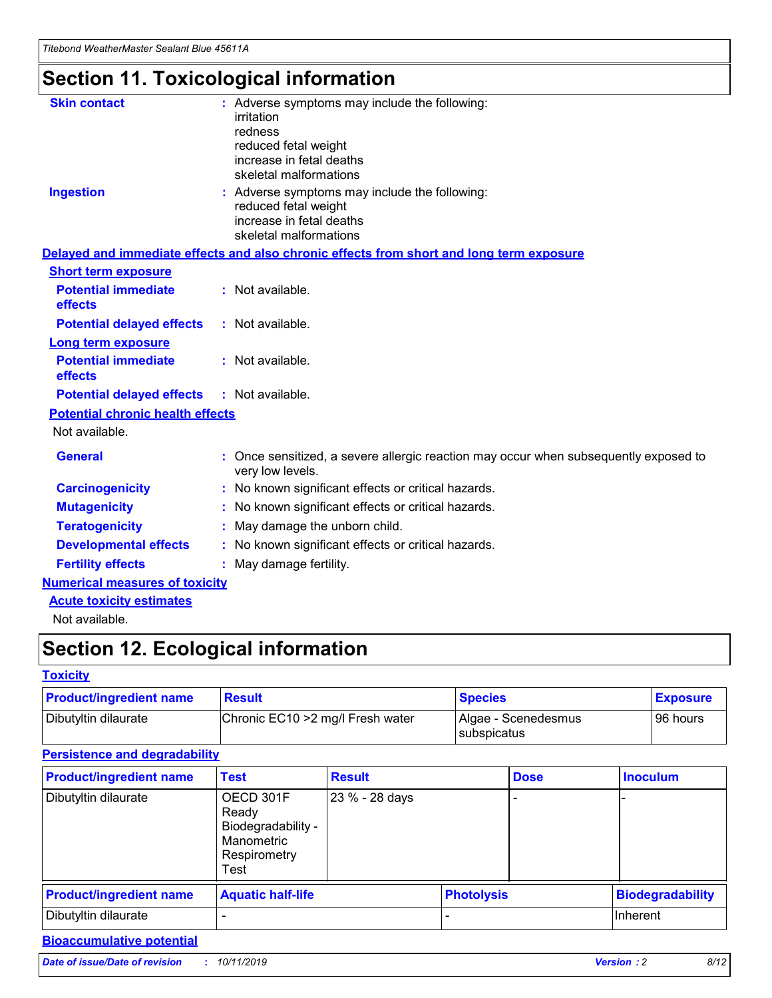## **Section 11. Toxicological information**

| <b>Skin contact</b>                     | : Adverse symptoms may include the following:<br>irritation<br>redness<br>reduced fetal weight<br>increase in fetal deaths<br>skeletal malformations |
|-----------------------------------------|------------------------------------------------------------------------------------------------------------------------------------------------------|
| <b>Ingestion</b>                        | : Adverse symptoms may include the following:<br>reduced fetal weight<br>increase in fetal deaths<br>skeletal malformations                          |
|                                         | Delayed and immediate effects and also chronic effects from short and long term exposure                                                             |
| <b>Short term exposure</b>              |                                                                                                                                                      |
| <b>Potential immediate</b><br>effects   | : Not available.                                                                                                                                     |
| <b>Potential delayed effects</b>        | : Not available.                                                                                                                                     |
| <b>Long term exposure</b>               |                                                                                                                                                      |
| <b>Potential immediate</b><br>effects   | : Not available.                                                                                                                                     |
| <b>Potential delayed effects</b>        | : Not available.                                                                                                                                     |
| <b>Potential chronic health effects</b> |                                                                                                                                                      |
| Not available.                          |                                                                                                                                                      |
| <b>General</b>                          | : Once sensitized, a severe allergic reaction may occur when subsequently exposed to<br>very low levels.                                             |
| <b>Carcinogenicity</b>                  | : No known significant effects or critical hazards.                                                                                                  |
| <b>Mutagenicity</b>                     | No known significant effects or critical hazards.                                                                                                    |
| <b>Teratogenicity</b>                   | May damage the unborn child.                                                                                                                         |
| <b>Developmental effects</b>            | No known significant effects or critical hazards.                                                                                                    |
| <b>Fertility effects</b>                | : May damage fertility.                                                                                                                              |
| <b>Numerical measures of toxicity</b>   |                                                                                                                                                      |
| <b>Acute toxicity estimates</b>         |                                                                                                                                                      |
|                                         |                                                                                                                                                      |

Not available.

## **Section 12. Ecological information**

#### **Toxicity**

| <b>Product/ingredient name</b> | <b>Result</b>                     | <b>Species</b>                       | <b>Exposure</b> |
|--------------------------------|-----------------------------------|--------------------------------------|-----------------|
| Dibutyltin dilaurate           | Chronic EC10 > 2 mg/l Fresh water | Algae - Scenedesmus<br>I subspicatus | l 96 hours i    |

### **Persistence and degradability**

| <b>Product/ingredient name</b> | <b>Test</b>                                                                    | <b>Result</b>  |                   | <b>Dose</b> | <b>Inoculum</b>         |
|--------------------------------|--------------------------------------------------------------------------------|----------------|-------------------|-------------|-------------------------|
| Dibutyltin dilaurate           | OECD 301F<br>Ready<br>Biodegradability -<br>Manometric<br>Respirometry<br>Test | 23 % - 28 days |                   |             |                         |
| <b>Product/ingredient name</b> | <b>Aquatic half-life</b>                                                       |                | <b>Photolysis</b> |             | <b>Biodegradability</b> |
| Dibutyltin dilaurate           |                                                                                |                |                   |             | Inherent                |

### **Bioaccumulative potential**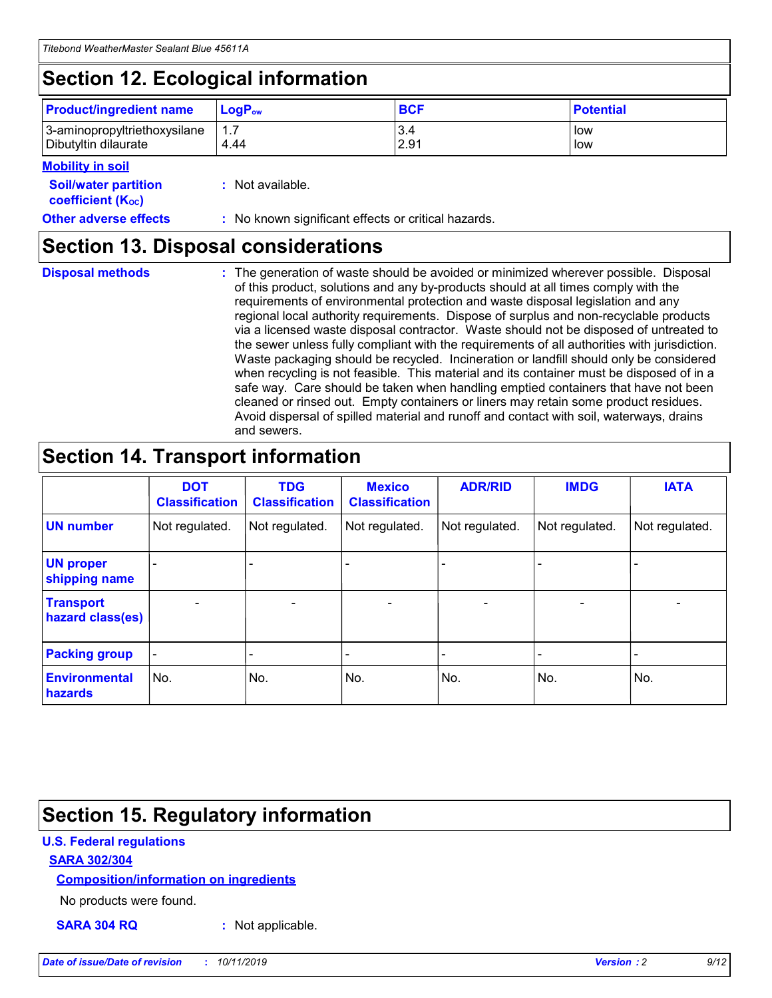## **Section 12. Ecological information**

| <b>Product/ingredient name</b> | $LoaPow$ | <b>BCF</b> | <b>Potential</b> |
|--------------------------------|----------|------------|------------------|
| 3-aminopropyltriethoxysilane   | 1.7      | 3.4        | low              |
| Dibutyltin dilaurate           | 4.44     | 2.91       | low              |

#### **Mobility in soil**

| <i></i>                                                       |                                                     |
|---------------------------------------------------------------|-----------------------------------------------------|
| <b>Soil/water partition</b><br>coefficient (K <sub>oc</sub> ) | : Not available.                                    |
| <b>Other adverse effects</b>                                  | : No known significant effects or critical hazards. |

### **Section 13. Disposal considerations**

**Disposal methods :**

The generation of waste should be avoided or minimized wherever possible. Disposal of this product, solutions and any by-products should at all times comply with the requirements of environmental protection and waste disposal legislation and any regional local authority requirements. Dispose of surplus and non-recyclable products via a licensed waste disposal contractor. Waste should not be disposed of untreated to the sewer unless fully compliant with the requirements of all authorities with jurisdiction. Waste packaging should be recycled. Incineration or landfill should only be considered when recycling is not feasible. This material and its container must be disposed of in a safe way. Care should be taken when handling emptied containers that have not been cleaned or rinsed out. Empty containers or liners may retain some product residues. Avoid dispersal of spilled material and runoff and contact with soil, waterways, drains and sewers.

## **Section 14. Transport information**

|                                      | <b>DOT</b><br><b>Classification</b> | <b>TDG</b><br><b>Classification</b> | <b>Mexico</b><br><b>Classification</b> | <b>ADR/RID</b>           | <b>IMDG</b>              | <b>IATA</b>              |
|--------------------------------------|-------------------------------------|-------------------------------------|----------------------------------------|--------------------------|--------------------------|--------------------------|
| <b>UN number</b>                     | Not regulated.                      | Not regulated.                      | Not regulated.                         | Not regulated.           | Not regulated.           | Not regulated.           |
| <b>UN proper</b><br>shipping name    | $\qquad \qquad$                     |                                     |                                        |                          |                          |                          |
| <b>Transport</b><br>hazard class(es) | $\blacksquare$                      | $\blacksquare$                      | $\blacksquare$                         | $\overline{\phantom{a}}$ | $\blacksquare$           | $\blacksquare$           |
| <b>Packing group</b>                 | $\overline{\phantom{a}}$            | $\overline{\phantom{0}}$            | $\overline{\phantom{0}}$               | -                        | $\overline{\phantom{0}}$ | $\overline{\phantom{a}}$ |
| <b>Environmental</b><br>hazards      | No.                                 | No.                                 | No.                                    | No.                      | No.                      | No.                      |

## **Section 15. Regulatory information**

#### **U.S. Federal regulations**

#### **SARA 302/304**

#### **Composition/information on ingredients**

No products were found.

**SARA 304 RQ :** Not applicable.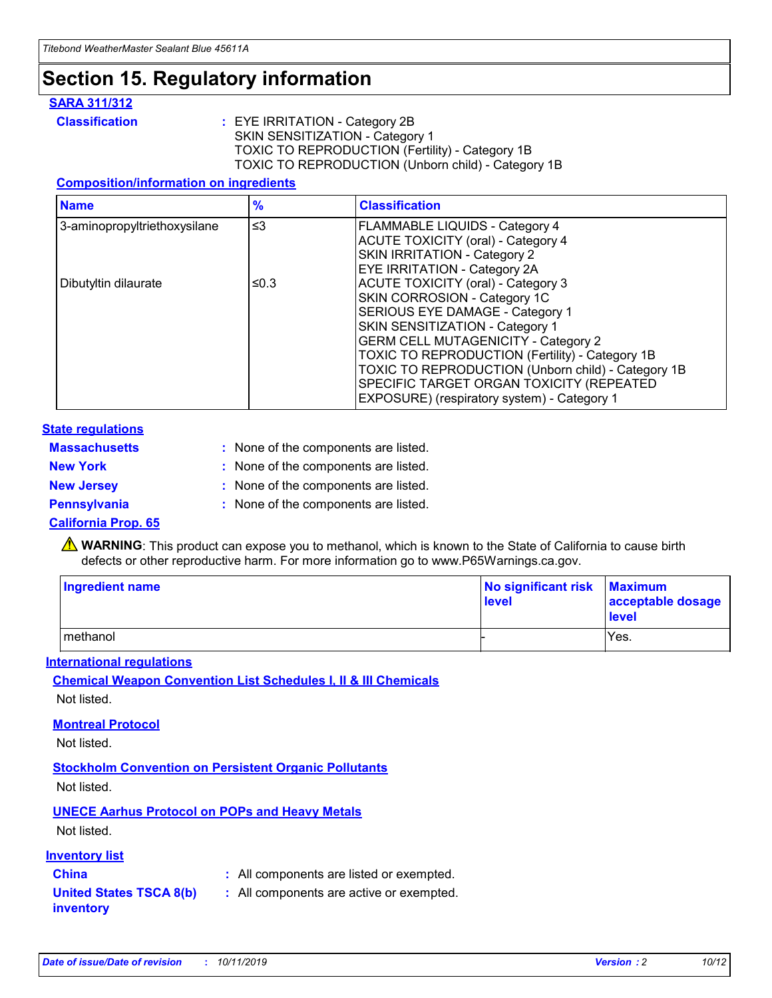## **Section 15. Regulatory information**

#### **SARA 311/312**

**Classification :** EYE IRRITATION - Category 2B SKIN SENSITIZATION - Category 1 TOXIC TO REPRODUCTION (Fertility) - Category 1B TOXIC TO REPRODUCTION (Unborn child) - Category 1B

#### **Composition/information on ingredients**

| <b>Name</b>                              | $\frac{9}{6}$ | <b>Classification</b>                                                                                            |
|------------------------------------------|---------------|------------------------------------------------------------------------------------------------------------------|
| $\leq$ 3<br>3-aminopropyltriethoxysilane |               | <b>FLAMMABLE LIQUIDS - Category 4</b><br><b>ACUTE TOXICITY (oral) - Category 4</b>                               |
|                                          |               | SKIN IRRITATION - Category 2<br>EYE IRRITATION - Category 2A                                                     |
| Dibutyltin dilaurate                     | ≤0.3          | ACUTE TOXICITY (oral) - Category 3<br>SKIN CORROSION - Category 1C                                               |
|                                          |               | SERIOUS EYE DAMAGE - Category 1<br>SKIN SENSITIZATION - Category 1<br><b>GERM CELL MUTAGENICITY - Category 2</b> |
|                                          |               | TOXIC TO REPRODUCTION (Fertility) - Category 1B<br>TOXIC TO REPRODUCTION (Unborn child) - Category 1B            |
|                                          |               | SPECIFIC TARGET ORGAN TOXICITY (REPEATED<br>EXPOSURE) (respiratory system) - Category 1                          |

#### **State regulations**

| <b>Massachusetts</b> | : None of the components are listed. |
|----------------------|--------------------------------------|
| <b>New York</b>      | : None of the components are listed. |
| <b>New Jersey</b>    | : None of the components are listed. |
| Pennsylvania         | : None of the components are listed. |

#### **California Prop. 65**

**A** WARNING: This product can expose you to methanol, which is known to the State of California to cause birth defects or other reproductive harm. For more information go to www.P65Warnings.ca.gov.

| <b>Ingredient name</b> | No significant risk Maximum<br>level | acceptable dosage<br>level |
|------------------------|--------------------------------------|----------------------------|
| methanol               |                                      | Yes.                       |

#### **International regulations**

**Chemical Weapon Convention List Schedules I, II & III Chemicals** Not listed.

#### **Montreal Protocol**

Not listed.

#### **Stockholm Convention on Persistent Organic Pollutants**

Not listed.

### **UNECE Aarhus Protocol on POPs and Heavy Metals**

Not listed.

#### **Inventory list**

### **China :** All components are listed or exempted.

**United States TSCA 8(b) inventory :** All components are active or exempted.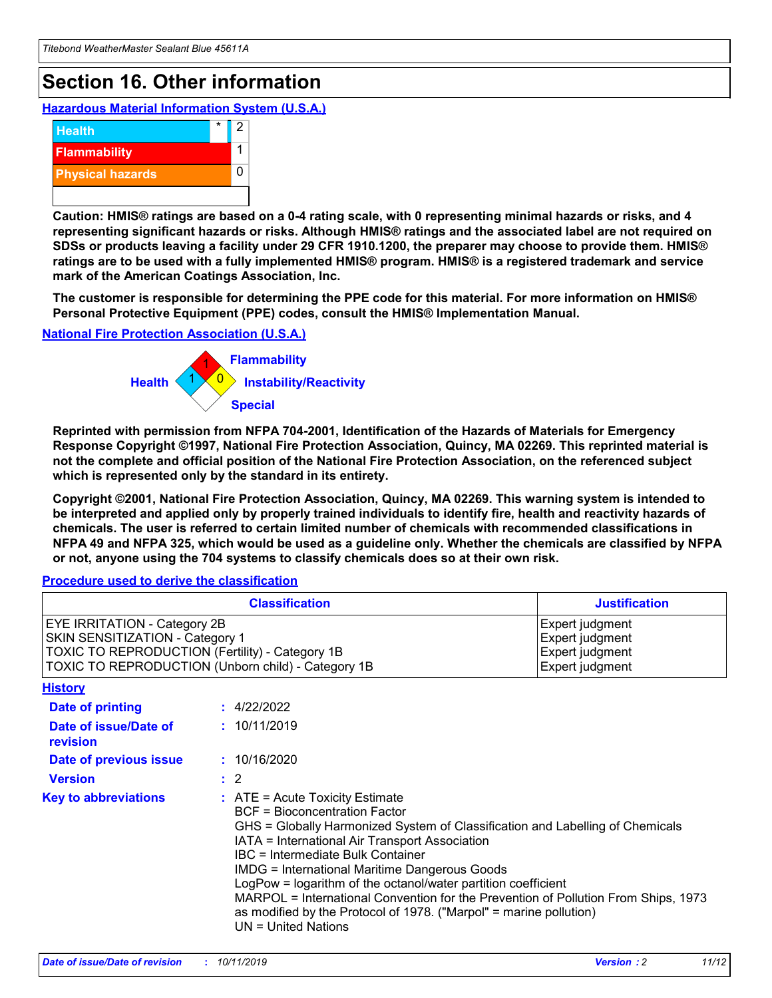## **Section 16. Other information**

**Hazardous Material Information System (U.S.A.)**



**Caution: HMIS® ratings are based on a 0-4 rating scale, with 0 representing minimal hazards or risks, and 4 representing significant hazards or risks. Although HMIS® ratings and the associated label are not required on SDSs or products leaving a facility under 29 CFR 1910.1200, the preparer may choose to provide them. HMIS® ratings are to be used with a fully implemented HMIS® program. HMIS® is a registered trademark and service mark of the American Coatings Association, Inc.**

**The customer is responsible for determining the PPE code for this material. For more information on HMIS® Personal Protective Equipment (PPE) codes, consult the HMIS® Implementation Manual.**

#### **National Fire Protection Association (U.S.A.)**



**Reprinted with permission from NFPA 704-2001, Identification of the Hazards of Materials for Emergency Response Copyright ©1997, National Fire Protection Association, Quincy, MA 02269. This reprinted material is not the complete and official position of the National Fire Protection Association, on the referenced subject which is represented only by the standard in its entirety.**

**Copyright ©2001, National Fire Protection Association, Quincy, MA 02269. This warning system is intended to be interpreted and applied only by properly trained individuals to identify fire, health and reactivity hazards of chemicals. The user is referred to certain limited number of chemicals with recommended classifications in NFPA 49 and NFPA 325, which would be used as a guideline only. Whether the chemicals are classified by NFPA or not, anyone using the 704 systems to classify chemicals does so at their own risk.**

**Procedure used to derive the classification**

| <b>Classification</b>                                                                                                                                                    |                                                                                                                                                  | <b>Justification</b>                                                                                                                                                                                                                                                                                                                                                                                                 |  |
|--------------------------------------------------------------------------------------------------------------------------------------------------------------------------|--------------------------------------------------------------------------------------------------------------------------------------------------|----------------------------------------------------------------------------------------------------------------------------------------------------------------------------------------------------------------------------------------------------------------------------------------------------------------------------------------------------------------------------------------------------------------------|--|
| EYE IRRITATION - Category 2B<br>SKIN SENSITIZATION - Category 1<br>TOXIC TO REPRODUCTION (Fertility) - Category 1B<br>TOXIC TO REPRODUCTION (Unborn child) - Category 1B |                                                                                                                                                  | Expert judgment<br>Expert judgment<br>Expert judgment<br>Expert judgment                                                                                                                                                                                                                                                                                                                                             |  |
| <b>History</b>                                                                                                                                                           |                                                                                                                                                  |                                                                                                                                                                                                                                                                                                                                                                                                                      |  |
| Date of printing                                                                                                                                                         | : 4/22/2022                                                                                                                                      |                                                                                                                                                                                                                                                                                                                                                                                                                      |  |
| Date of issue/Date of<br>revision                                                                                                                                        | : 10/11/2019                                                                                                                                     |                                                                                                                                                                                                                                                                                                                                                                                                                      |  |
| Date of previous issue                                                                                                                                                   | : 10/16/2020                                                                                                                                     |                                                                                                                                                                                                                                                                                                                                                                                                                      |  |
| <b>Version</b>                                                                                                                                                           | $\therefore$ 2                                                                                                                                   |                                                                                                                                                                                                                                                                                                                                                                                                                      |  |
| <b>Key to abbreviations</b>                                                                                                                                              | $\therefore$ ATE = Acute Toxicity Estimate<br><b>BCF</b> = Bioconcentration Factor<br>IBC = Intermediate Bulk Container<br>$UN = United Nations$ | GHS = Globally Harmonized System of Classification and Labelling of Chemicals<br>IATA = International Air Transport Association<br><b>IMDG = International Maritime Dangerous Goods</b><br>LogPow = logarithm of the octanol/water partition coefficient<br>MARPOL = International Convention for the Prevention of Pollution From Ships, 1973<br>as modified by the Protocol of 1978. ("Marpol" = marine pollution) |  |